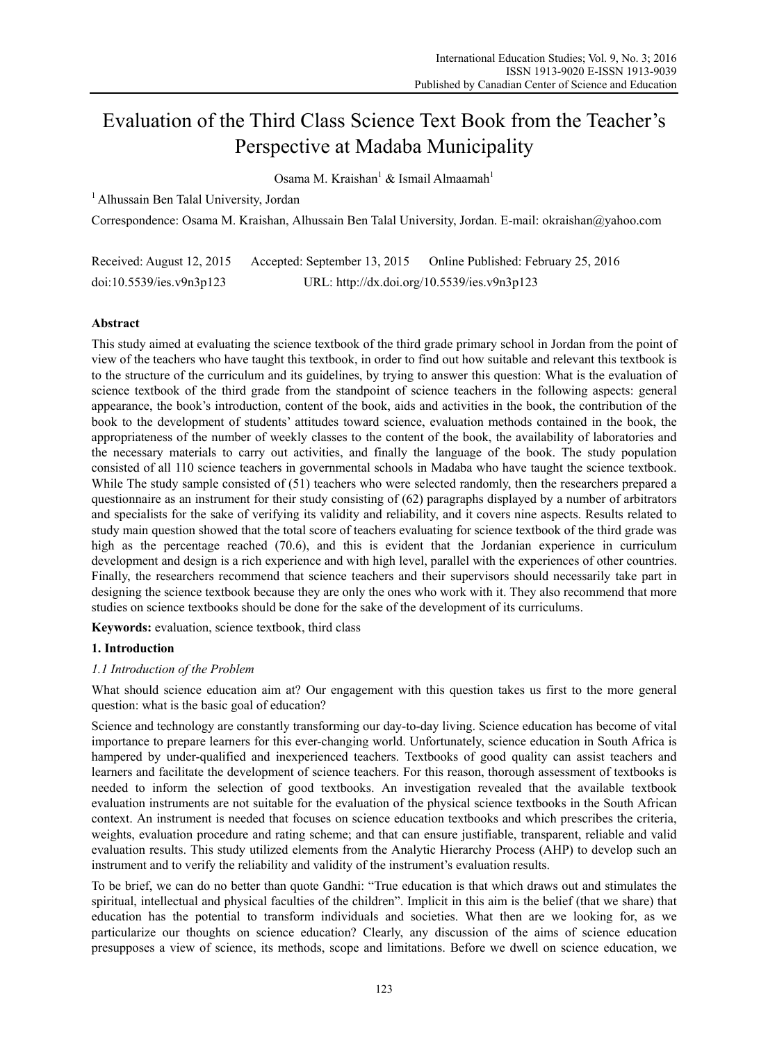# Evaluation of the Third Class Science Text Book from the Teacher's Perspective at Madaba Municipality

Osama M. Kraishan<sup>1</sup> & Ismail Almaamah<sup>1</sup>

<sup>1</sup> Alhussain Ben Talal University, Jordan

Correspondence: Osama M. Kraishan, Alhussain Ben Talal University, Jordan. E-mail: okraishan@yahoo.com

| Received: August 12, 2015 | Accepted: September 13, 2015 | Online Published: February 25, 2016         |
|---------------------------|------------------------------|---------------------------------------------|
| doi:10.5539/ies.v9n3p123  |                              | URL: http://dx.doi.org/10.5539/ies.v9n3p123 |

## **Abstract**

This study aimed at evaluating the science textbook of the third grade primary school in Jordan from the point of view of the teachers who have taught this textbook, in order to find out how suitable and relevant this textbook is to the structure of the curriculum and its guidelines, by trying to answer this question: What is the evaluation of science textbook of the third grade from the standpoint of science teachers in the following aspects: general appearance, the book's introduction, content of the book, aids and activities in the book, the contribution of the book to the development of students' attitudes toward science, evaluation methods contained in the book, the appropriateness of the number of weekly classes to the content of the book, the availability of laboratories and the necessary materials to carry out activities, and finally the language of the book. The study population consisted of all 110 science teachers in governmental schools in Madaba who have taught the science textbook. While The study sample consisted of (51) teachers who were selected randomly, then the researchers prepared a questionnaire as an instrument for their study consisting of (62) paragraphs displayed by a number of arbitrators and specialists for the sake of verifying its validity and reliability, and it covers nine aspects. Results related to study main question showed that the total score of teachers evaluating for science textbook of the third grade was high as the percentage reached (70.6), and this is evident that the Jordanian experience in curriculum development and design is a rich experience and with high level, parallel with the experiences of other countries. Finally, the researchers recommend that science teachers and their supervisors should necessarily take part in designing the science textbook because they are only the ones who work with it. They also recommend that more studies on science textbooks should be done for the sake of the development of its curriculums.

**Keywords:** evaluation, science textbook, third class

## **1. Introduction**

#### *1.1 Introduction of the Problem*

What should science education aim at? Our engagement with this question takes us first to the more general question: what is the basic goal of education?

Science and technology are constantly transforming our day-to-day living. Science education has become of vital importance to prepare learners for this ever-changing world. Unfortunately, science education in South Africa is hampered by under-qualified and inexperienced teachers. Textbooks of good quality can assist teachers and learners and facilitate the development of science teachers. For this reason, thorough assessment of textbooks is needed to inform the selection of good textbooks. An investigation revealed that the available textbook evaluation instruments are not suitable for the evaluation of the physical science textbooks in the South African context. An instrument is needed that focuses on science education textbooks and which prescribes the criteria, weights, evaluation procedure and rating scheme; and that can ensure justifiable, transparent, reliable and valid evaluation results. This study utilized elements from the Analytic Hierarchy Process (AHP) to develop such an instrument and to verify the reliability and validity of the instrument's evaluation results.

To be brief, we can do no better than quote Gandhi: "True education is that which draws out and stimulates the spiritual, intellectual and physical faculties of the children". Implicit in this aim is the belief (that we share) that education has the potential to transform individuals and societies. What then are we looking for, as we particularize our thoughts on science education? Clearly, any discussion of the aims of science education presupposes a view of science, its methods, scope and limitations. Before we dwell on science education, we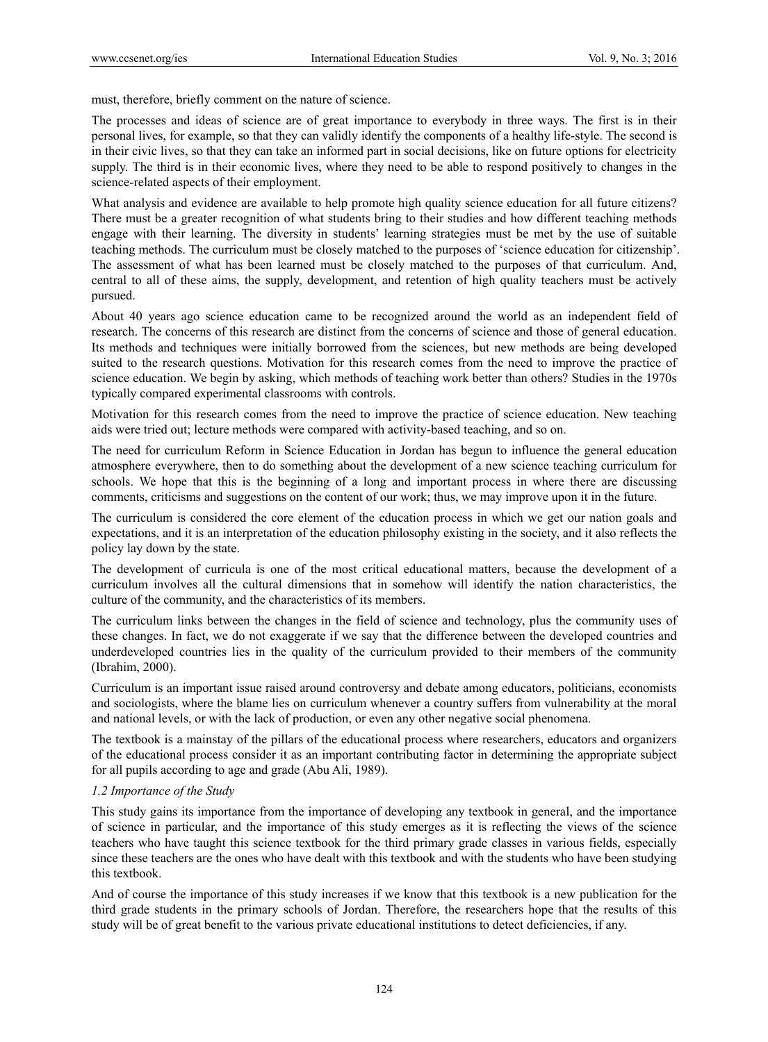must, therefore, briefly comment on the nature of science.

The processes and ideas of science are of great importance to everybody in three ways. The first is in their personal lives, for example, so that they can validly identify the components of a healthy life-style. The second is in their civic lives, so that they can take an informed part in social decisions, like on future options for electricity supply. The third is in their economic lives, where they need to be able to respond positively to changes in the science-related aspects of their employment.

What analysis and evidence are available to help promote high quality science education for all future citizens? There must be a greater recognition of what students bring to their studies and how different teaching methods engage with their learning. The diversity in students' learning strategies must be met by the use of suitable teaching methods. The curriculum must be closely matched to the purposes of 'science education for citizenship'. The assessment of what has been learned must be closely matched to the purposes of that curriculum. And, central to all of these aims, the supply, development, and retention of high quality teachers must be actively pursued.

About 40 years ago science education came to be recognized around the world as an independent field of research. The concerns of this research are distinct from the concerns of science and those of general education. Its methods and techniques were initially borrowed from the sciences, but new methods are being developed suited to the research questions. Motivation for this research comes from the need to improve the practice of science education. We begin by asking, which methods of teaching work better than others? Studies in the 1970s typically compared experimental classrooms with controls.

Motivation for this research comes from the need to improve the practice of science education. New teaching aids were tried out; lecture methods were compared with activity-based teaching, and so on.

The need for curriculum Reform in Science Education in Jordan has begun to influence the general education atmosphere everywhere, then to do something about the development of a new science teaching curriculum for schools. We hope that this is the beginning of a long and important process in where there are discussing comments, criticisms and suggestions on the content of our work; thus, we may improve upon it in the future.

The curriculum is considered the core element of the education process in which we get our nation goals and expectations, and it is an interpretation of the education philosophy existing in the society, and it also reflects the policy lay down by the state.

The development of curricula is one of the most critical educational matters, because the development of a curriculum involves all the cultural dimensions that in somehow will identify the nation characteristics, the culture of the community, and the characteristics of its members.

The curriculum links between the changes in the field of science and technology, plus the community uses of these changes. In fact, we do not exaggerate if we say that the difference between the developed countries and underdeveloped countries lies in the quality of the curriculum provided to their members of the community (Ibrahim, 2000).

Curriculum is an important issue raised around controversy and debate among educators, politicians, economists and sociologists, where the blame lies on curriculum whenever a country suffers from vulnerability at the moral and national levels, or with the lack of production, or even any other negative social phenomena.

The textbook is a mainstay of the pillars of the educational process where researchers, educators and organizers of the educational process consider it as an important contributing factor in determining the appropriate subject for all pupils according to age and grade (Abu Ali, 1989).

## *1.2 Importance of the Study*

This study gains its importance from the importance of developing any textbook in general, and the importance of science in particular, and the importance of this study emerges as it is reflecting the views of the science teachers who have taught this science textbook for the third primary grade classes in various fields, especially since these teachers are the ones who have dealt with this textbook and with the students who have been studying this textbook.

And of course the importance of this study increases if we know that this textbook is a new publication for the third grade students in the primary schools of Jordan. Therefore, the researchers hope that the results of this study will be of great benefit to the various private educational institutions to detect deficiencies, if any.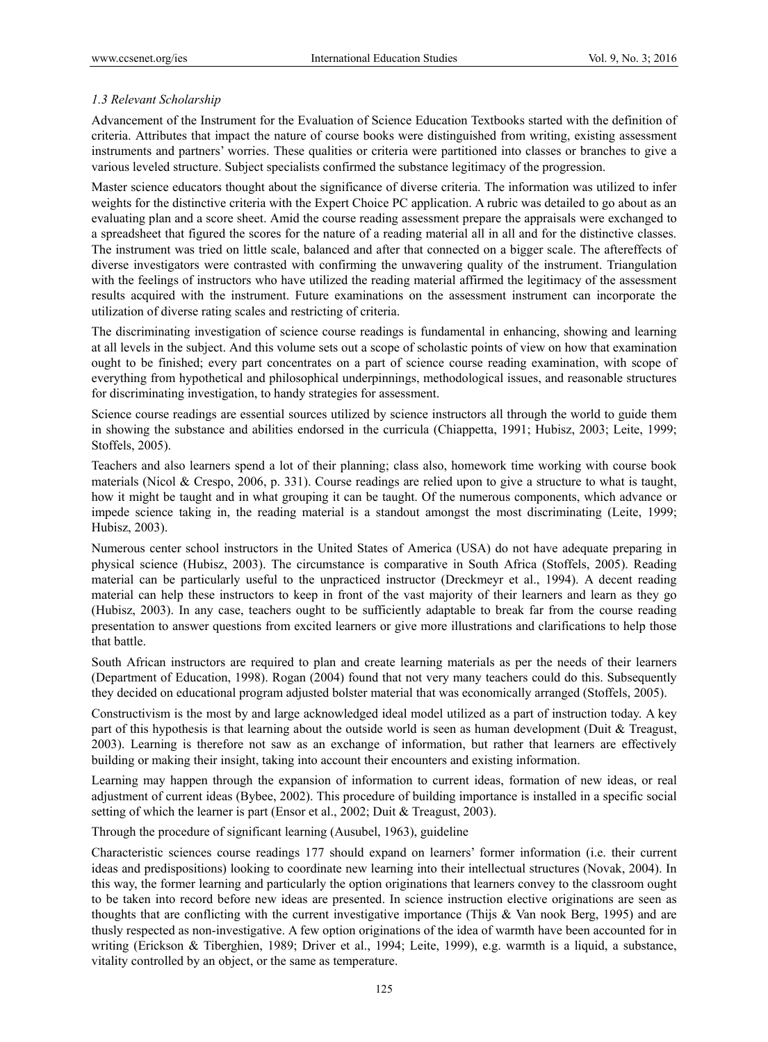## *1.3 Relevant Scholarship*

Advancement of the Instrument for the Evaluation of Science Education Textbooks started with the definition of criteria. Attributes that impact the nature of course books were distinguished from writing, existing assessment instruments and partners' worries. These qualities or criteria were partitioned into classes or branches to give a various leveled structure. Subject specialists confirmed the substance legitimacy of the progression.

Master science educators thought about the significance of diverse criteria. The information was utilized to infer weights for the distinctive criteria with the Expert Choice PC application. A rubric was detailed to go about as an evaluating plan and a score sheet. Amid the course reading assessment prepare the appraisals were exchanged to a spreadsheet that figured the scores for the nature of a reading material all in all and for the distinctive classes. The instrument was tried on little scale, balanced and after that connected on a bigger scale. The aftereffects of diverse investigators were contrasted with confirming the unwavering quality of the instrument. Triangulation with the feelings of instructors who have utilized the reading material affirmed the legitimacy of the assessment results acquired with the instrument. Future examinations on the assessment instrument can incorporate the utilization of diverse rating scales and restricting of criteria.

The discriminating investigation of science course readings is fundamental in enhancing, showing and learning at all levels in the subject. And this volume sets out a scope of scholastic points of view on how that examination ought to be finished; every part concentrates on a part of science course reading examination, with scope of everything from hypothetical and philosophical underpinnings, methodological issues, and reasonable structures for discriminating investigation, to handy strategies for assessment.

Science course readings are essential sources utilized by science instructors all through the world to guide them in showing the substance and abilities endorsed in the curricula (Chiappetta, 1991; Hubisz, 2003; Leite, 1999; Stoffels, 2005).

Teachers and also learners spend a lot of their planning; class also, homework time working with course book materials (Nicol & Crespo, 2006, p. 331). Course readings are relied upon to give a structure to what is taught, how it might be taught and in what grouping it can be taught. Of the numerous components, which advance or impede science taking in, the reading material is a standout amongst the most discriminating (Leite, 1999; Hubisz, 2003).

Numerous center school instructors in the United States of America (USA) do not have adequate preparing in physical science (Hubisz, 2003). The circumstance is comparative in South Africa (Stoffels, 2005). Reading material can be particularly useful to the unpracticed instructor (Dreckmeyr et al., 1994). A decent reading material can help these instructors to keep in front of the vast majority of their learners and learn as they go (Hubisz, 2003). In any case, teachers ought to be sufficiently adaptable to break far from the course reading presentation to answer questions from excited learners or give more illustrations and clarifications to help those that battle.

South African instructors are required to plan and create learning materials as per the needs of their learners (Department of Education, 1998). Rogan (2004) found that not very many teachers could do this. Subsequently they decided on educational program adjusted bolster material that was economically arranged (Stoffels, 2005).

Constructivism is the most by and large acknowledged ideal model utilized as a part of instruction today. A key part of this hypothesis is that learning about the outside world is seen as human development (Duit & Treagust, 2003). Learning is therefore not saw as an exchange of information, but rather that learners are effectively building or making their insight, taking into account their encounters and existing information.

Learning may happen through the expansion of information to current ideas, formation of new ideas, or real adjustment of current ideas (Bybee, 2002). This procedure of building importance is installed in a specific social setting of which the learner is part (Ensor et al., 2002; Duit & Treagust, 2003).

Through the procedure of significant learning (Ausubel, 1963), guideline

Characteristic sciences course readings 177 should expand on learners' former information (i.e. their current ideas and predispositions) looking to coordinate new learning into their intellectual structures (Novak, 2004). In this way, the former learning and particularly the option originations that learners convey to the classroom ought to be taken into record before new ideas are presented. In science instruction elective originations are seen as thoughts that are conflicting with the current investigative importance (Thijs & Van nook Berg, 1995) and are thusly respected as non-investigative. A few option originations of the idea of warmth have been accounted for in writing (Erickson & Tiberghien, 1989; Driver et al., 1994; Leite, 1999), e.g. warmth is a liquid, a substance, vitality controlled by an object, or the same as temperature.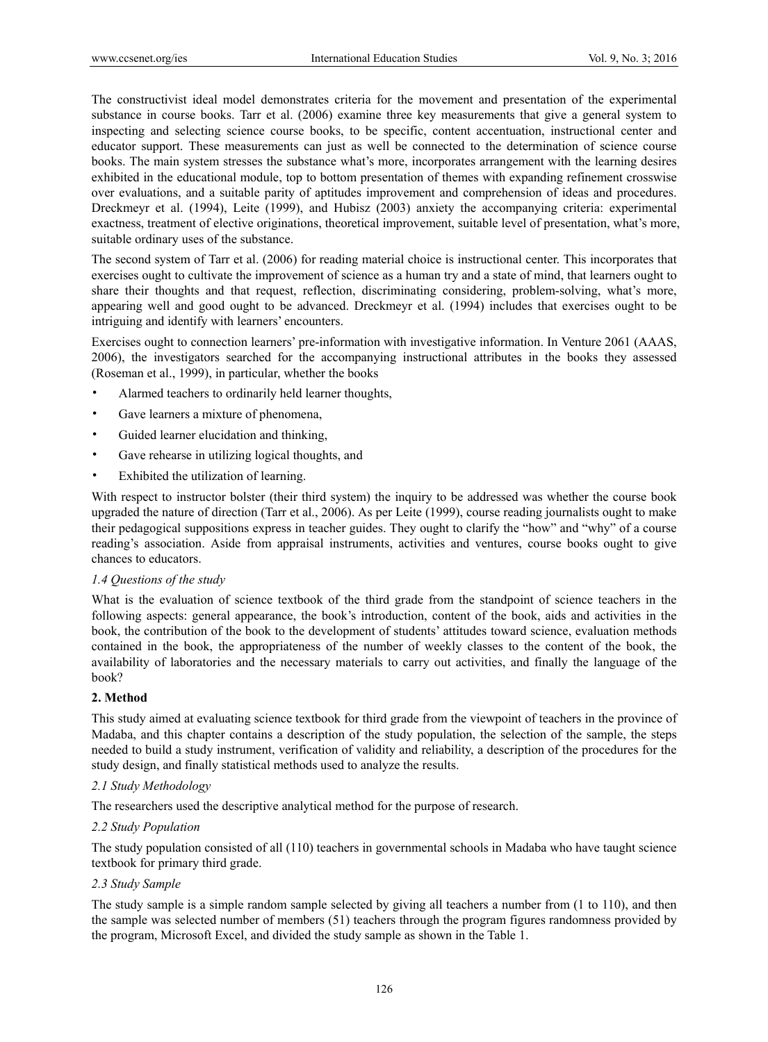The constructivist ideal model demonstrates criteria for the movement and presentation of the experimental substance in course books. Tarr et al. (2006) examine three key measurements that give a general system to inspecting and selecting science course books, to be specific, content accentuation, instructional center and educator support. These measurements can just as well be connected to the determination of science course books. The main system stresses the substance what's more, incorporates arrangement with the learning desires exhibited in the educational module, top to bottom presentation of themes with expanding refinement crosswise over evaluations, and a suitable parity of aptitudes improvement and comprehension of ideas and procedures. Dreckmeyr et al. (1994), Leite (1999), and Hubisz (2003) anxiety the accompanying criteria: experimental exactness, treatment of elective originations, theoretical improvement, suitable level of presentation, what's more, suitable ordinary uses of the substance.

The second system of Tarr et al. (2006) for reading material choice is instructional center. This incorporates that exercises ought to cultivate the improvement of science as a human try and a state of mind, that learners ought to share their thoughts and that request, reflection, discriminating considering, problem-solving, what's more, appearing well and good ought to be advanced. Dreckmeyr et al. (1994) includes that exercises ought to be intriguing and identify with learners' encounters.

Exercises ought to connection learners' pre-information with investigative information. In Venture 2061 (AAAS, 2006), the investigators searched for the accompanying instructional attributes in the books they assessed (Roseman et al., 1999), in particular, whether the books

- Alarmed teachers to ordinarily held learner thoughts,
- Gave learners a mixture of phenomena,
- Guided learner elucidation and thinking,
- Gave rehearse in utilizing logical thoughts, and
- Exhibited the utilization of learning.

With respect to instructor bolster (their third system) the inquiry to be addressed was whether the course book upgraded the nature of direction (Tarr et al., 2006). As per Leite (1999), course reading journalists ought to make their pedagogical suppositions express in teacher guides. They ought to clarify the "how" and "why" of a course reading's association. Aside from appraisal instruments, activities and ventures, course books ought to give chances to educators.

#### *1.4 Questions of the study*

What is the evaluation of science textbook of the third grade from the standpoint of science teachers in the following aspects: general appearance, the book's introduction, content of the book, aids and activities in the book, the contribution of the book to the development of students' attitudes toward science, evaluation methods contained in the book, the appropriateness of the number of weekly classes to the content of the book, the availability of laboratories and the necessary materials to carry out activities, and finally the language of the book?

## **2. Method**

This study aimed at evaluating science textbook for third grade from the viewpoint of teachers in the province of Madaba, and this chapter contains a description of the study population, the selection of the sample, the steps needed to build a study instrument, verification of validity and reliability, a description of the procedures for the study design, and finally statistical methods used to analyze the results.

## *2.1 Study Methodology*

The researchers used the descriptive analytical method for the purpose of research.

#### *2.2 Study Population*

The study population consisted of all (110) teachers in governmental schools in Madaba who have taught science textbook for primary third grade.

#### *2.3 Study Sample*

The study sample is a simple random sample selected by giving all teachers a number from (1 to 110), and then the sample was selected number of members (51) teachers through the program figures randomness provided by the program, Microsoft Excel, and divided the study sample as shown in the Table 1.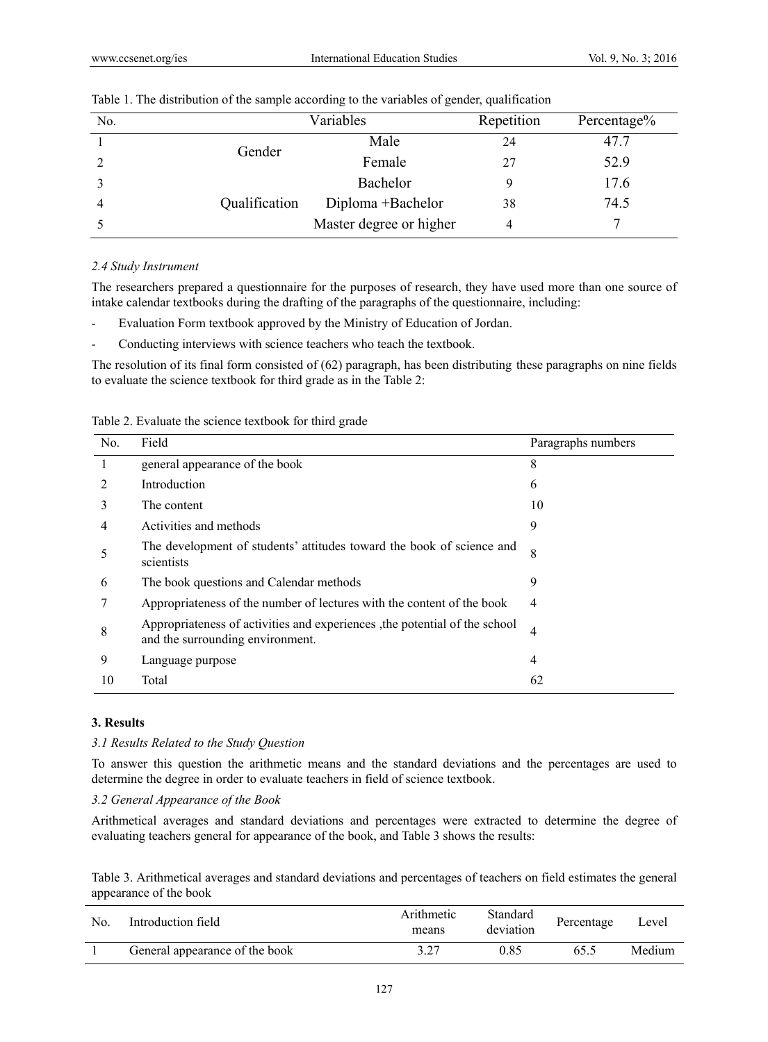| N <sub>0</sub> |               | Variables               |    | Percentage% |
|----------------|---------------|-------------------------|----|-------------|
|                | Gender        | Male                    | 24 | 47.7        |
|                |               | Female                  | 27 | 52.9        |
|                |               | Bachelor                |    | 17.6        |
|                | Qualification | Diploma +Bachelor       | 38 | 74.5        |
|                |               | Master degree or higher |    |             |

Table 1. The distribution of the sample according to the variables of gender, qualification

#### *2.4 Study Instrument*

The researchers prepared a questionnaire for the purposes of research, they have used more than one source of intake calendar textbooks during the drafting of the paragraphs of the questionnaire, including:

- Evaluation Form textbook approved by the Ministry of Education of Jordan.
- Conducting interviews with science teachers who teach the textbook.

The resolution of its final form consisted of (62) paragraph, has been distributing these paragraphs on nine fields to evaluate the science textbook for third grade as in the Table 2:

|  |  |  |  | Table 2. Evaluate the science textbook for third grade |  |  |  |
|--|--|--|--|--------------------------------------------------------|--|--|--|
|--|--|--|--|--------------------------------------------------------|--|--|--|

| No. | Field                                                                                                           | Paragraphs numbers |
|-----|-----------------------------------------------------------------------------------------------------------------|--------------------|
| 1   | general appearance of the book                                                                                  | 8                  |
|     | Introduction                                                                                                    | 6                  |
| 3   | The content                                                                                                     | 10                 |
| 4   | Activities and methods                                                                                          | 9                  |
| 5   | The development of students' attitudes toward the book of science and<br>scientists                             | 8                  |
| 6   | The book questions and Calendar methods                                                                         | 9                  |
|     | Appropriateness of the number of lectures with the content of the book                                          | 4                  |
| 8   | Appropriateness of activities and experiences , the potential of the school<br>and the surrounding environment. | 4                  |
| 9   | Language purpose                                                                                                | 4                  |
| 10  | Total                                                                                                           | 62                 |

#### **3. Results**

#### *3.1 Results Related to the Study Question*

To answer this question the arithmetic means and the standard deviations and the percentages are used to determine the degree in order to evaluate teachers in field of science textbook.

## *3.2 General Appearance of the Book*

Arithmetical averages and standard deviations and percentages were extracted to determine the degree of evaluating teachers general for appearance of the book, and Table 3 shows the results:

Table 3. Arithmetical averages and standard deviations and percentages of teachers on field estimates the general appearance of the book

| No. | Introduction field             | Arithmetic<br>means | Standard<br>deviation | Percentage | Level  |
|-----|--------------------------------|---------------------|-----------------------|------------|--------|
|     | General appearance of the book | 3.27                | 0.85                  | 65.5       | Medium |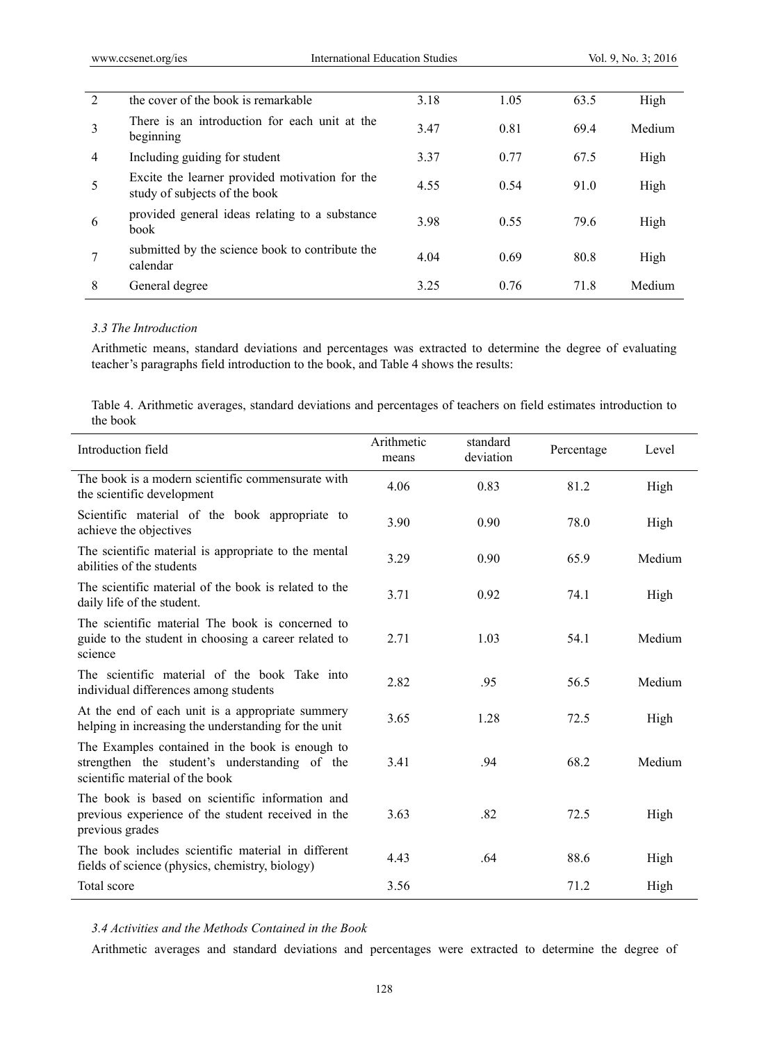| $\overline{2}$ | the cover of the book is remarkable                                             | 3.18  | 1.05 | 63.5 | High   |
|----------------|---------------------------------------------------------------------------------|-------|------|------|--------|
| 3              | There is an introduction for each unit at the<br>beginning                      | 3.47  | 0.81 | 69.4 | Medium |
| $\overline{4}$ | Including guiding for student                                                   | 3.37  | 0.77 | 67.5 | High   |
| 5              | Excite the learner provided motivation for the<br>study of subjects of the book | 4.55  | 0.54 | 91.0 | High   |
| 6              | provided general ideas relating to a substance<br>book                          | 3.98  | 0.55 | 79.6 | High   |
|                | submitted by the science book to contribute the<br>calendar                     | 4.04  | 0.69 | 80.8 | High   |
| 8              | General degree                                                                  | 3 2 5 | 0.76 | 71.8 | Medium |
|                |                                                                                 |       |      |      |        |

#### *3.3 The Introduction*

Arithmetic means, standard deviations and percentages was extracted to determine the degree of evaluating teacher's paragraphs field introduction to the book, and Table 4 shows the results:

Table 4. Arithmetic averages, standard deviations and percentages of teachers on field estimates introduction to the book

| Introduction field                                                                                                                  | Arithmetic<br>means | standard<br>deviation | Percentage | Level  |
|-------------------------------------------------------------------------------------------------------------------------------------|---------------------|-----------------------|------------|--------|
| The book is a modern scientific commensurate with<br>the scientific development                                                     | 4.06                | 0.83                  | 81.2       | High   |
| Scientific material of the book appropriate to<br>achieve the objectives                                                            | 3.90                | 0.90                  | 78.0       | High   |
| The scientific material is appropriate to the mental<br>abilities of the students                                                   | 3.29                | 0.90                  | 65.9       | Medium |
| The scientific material of the book is related to the<br>daily life of the student.                                                 | 3.71                | 0.92                  | 74.1       | High   |
| The scientific material The book is concerned to<br>guide to the student in choosing a career related to<br>science                 | 2.71                | 1.03                  | 54.1       | Medium |
| The scientific material of the book Take into<br>individual differences among students                                              | 2.82                | .95                   | 56.5       | Medium |
| At the end of each unit is a appropriate summery<br>helping in increasing the understanding for the unit                            | 3.65                | 1.28                  | 72.5       | High   |
| The Examples contained in the book is enough to<br>strengthen the student's understanding of the<br>scientific material of the book | 3.41                | .94                   | 68.2       | Medium |
| The book is based on scientific information and<br>previous experience of the student received in the<br>previous grades            | 3.63                | .82                   | 72.5       | High   |
| The book includes scientific material in different<br>fields of science (physics, chemistry, biology)                               | 4.43                | .64                   | 88.6       | High   |
| Total score                                                                                                                         | 3.56                |                       | 71.2       | High   |

*3.4 Activities and the Methods Contained in the Book* 

Arithmetic averages and standard deviations and percentages were extracted to determine the degree of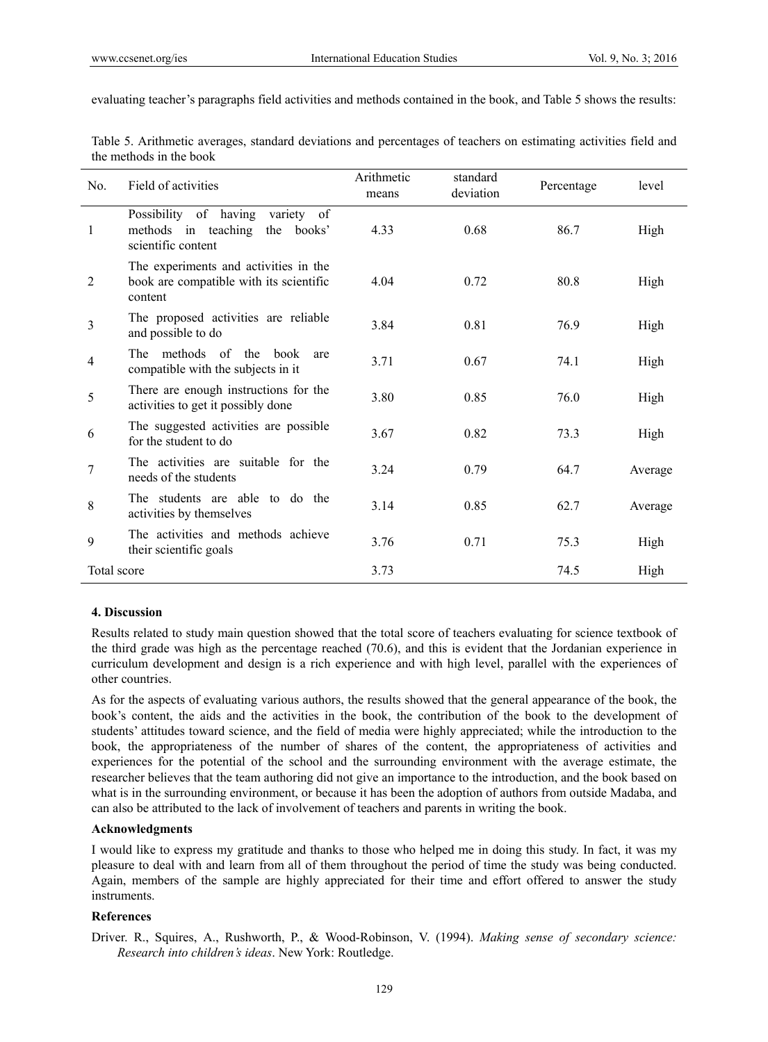evaluating teacher's paragraphs field activities and methods contained in the book, and Table 5 shows the results:

| No.            | Field of activities                                                                            | Arithmetic<br>means | standard<br>deviation | Percentage | level   |
|----------------|------------------------------------------------------------------------------------------------|---------------------|-----------------------|------------|---------|
| 1              | Possibility of having<br>variety of<br>methods in teaching<br>the books'<br>scientific content | 4.33                | 0.68                  | 86.7       | High    |
| 2              | The experiments and activities in the<br>book are compatible with its scientific<br>content    | 4.04                | 0.72                  | 80.8       | High    |
| 3              | The proposed activities are reliable<br>and possible to do                                     | 3.84                | 0.81                  | 76.9       | High    |
| $\overline{4}$ | The methods of the<br>book<br>are<br>compatible with the subjects in it                        | 3.71                | 0.67                  | 74.1       | High    |
| 5              | There are enough instructions for the<br>activities to get it possibly done                    | 3.80                | 0.85                  | 76.0       | High    |
| 6              | The suggested activities are possible<br>for the student to do                                 | 3.67                | 0.82                  | 73.3       | High    |
| 7              | The activities are suitable for the<br>needs of the students                                   | 3.24                | 0.79                  | 64.7       | Average |
| 8              | The students are able to do the<br>activities by themselves                                    | 3.14                | 0.85                  | 62.7       | Average |
| 9              | The activities and methods achieve<br>their scientific goals                                   | 3.76                | 0.71                  | 75.3       | High    |
| Total score    |                                                                                                | 3.73                |                       | 74.5       | High    |

Table 5. Arithmetic averages, standard deviations and percentages of teachers on estimating activities field and the methods in the book

### **4. Discussion**

Results related to study main question showed that the total score of teachers evaluating for science textbook of the third grade was high as the percentage reached (70.6), and this is evident that the Jordanian experience in curriculum development and design is a rich experience and with high level, parallel with the experiences of other countries.

As for the aspects of evaluating various authors, the results showed that the general appearance of the book, the book's content, the aids and the activities in the book, the contribution of the book to the development of students' attitudes toward science, and the field of media were highly appreciated; while the introduction to the book, the appropriateness of the number of shares of the content, the appropriateness of activities and experiences for the potential of the school and the surrounding environment with the average estimate, the researcher believes that the team authoring did not give an importance to the introduction, and the book based on what is in the surrounding environment, or because it has been the adoption of authors from outside Madaba, and can also be attributed to the lack of involvement of teachers and parents in writing the book.

#### **Acknowledgments**

I would like to express my gratitude and thanks to those who helped me in doing this study. In fact, it was my pleasure to deal with and learn from all of them throughout the period of time the study was being conducted. Again, members of the sample are highly appreciated for their time and effort offered to answer the study instruments.

## **References**

Driver. R., Squires, A., Rushworth, P., & Wood-Robinson, V. (1994). *Making sense of secondary science: Research into children's ideas*. New York: Routledge.